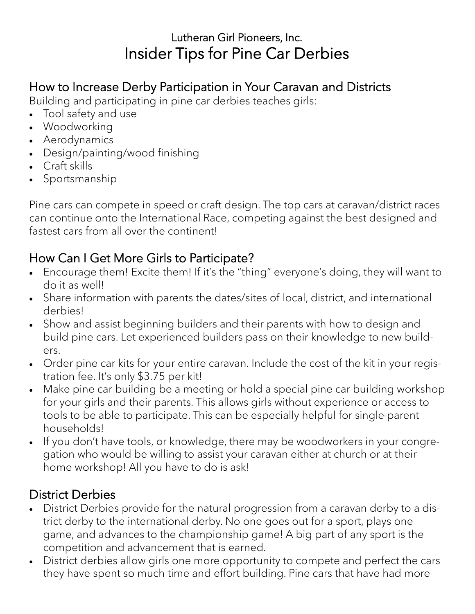# Lutheran Girl Pioneers, Inc. Insider Tips for Pine Car Derbies

# How to Increase Derby Participation in Your Caravan and Districts

Building and participating in pine car derbies teaches girls:

- Tool safety and use
- Woodworking
- Aerodynamics
- Design/painting/wood finishing
- Craft skills
- Sportsmanship

Pine cars can compete in speed or craft design. The top cars at caravan/district races can continue onto the International Race, competing against the best designed and fastest cars from all over the continent!

## How Can I Get More Girls to Participate?

- Encourage them! Excite them! If it's the "thing" everyone's doing, they will want to do it as well!
- Share information with parents the dates/sites of local, district, and international derbies!
- Show and assist beginning builders and their parents with how to design and build pine cars. Let experienced builders pass on their knowledge to new builders.
- Order pine car kits for your entire caravan. Include the cost of the kit in your registration fee. It's only \$3.75 per kit!
- Make pine car building be a meeting or hold a special pine car building workshop for your girls and their parents. This allows girls without experience or access to tools to be able to participate. This can be especially helpful for single-parent households!
- If you don't have tools, or knowledge, there may be woodworkers in your congregation who would be willing to assist your caravan either at church or at their home workshop! All you have to do is ask!

# District Derbies

- District Derbies provide for the natural progression from a caravan derby to a district derby to the international derby. No one goes out for a sport, plays one game, and advances to the championship game! A big part of any sport is the competition and advancement that is earned.
- District derbies allow girls one more opportunity to compete and perfect the cars they have spent so much time and effort building. Pine cars that have had more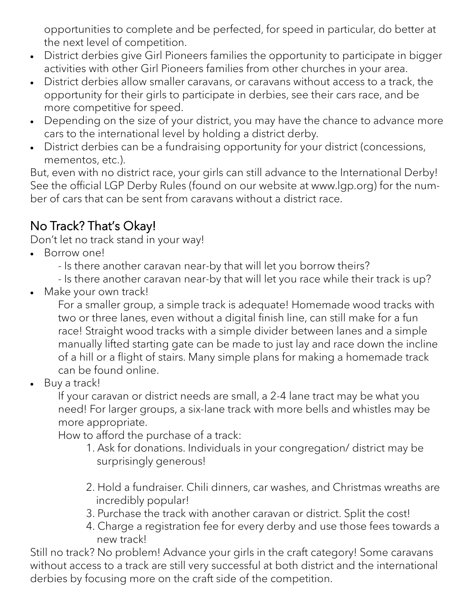opportunities to complete and be perfected, for speed in particular, do better at the next level of competition.

- District derbies give Girl Pioneers families the opportunity to participate in bigger activities with other Girl Pioneers families from other churches in your area.
- District derbies allow smaller caravans, or caravans without access to a track, the opportunity for their girls to participate in derbies, see their cars race, and be more competitive for speed.
- Depending on the size of your district, you may have the chance to advance more cars to the international level by holding a district derby.
- District derbies can be a fundraising opportunity for your district (concessions, mementos, etc.).

But, even with no district race, your girls can still advance to the International Derby! See the official LGP Derby Rules (found on our website at www.lgp.org) for the number of cars that can be sent from caravans without a district race.

# No Track? That's Okay!

Don't let no track stand in your way!

- Borrow one!
	- Is there another caravan near-by that will let you borrow theirs?
	- Is there another caravan near-by that will let you race while their track is up?
- Make your own track!

For a smaller group, a simple track is adequate! Homemade wood tracks with two or three lanes, even without a digital finish line, can still make for a fun race! Straight wood tracks with a simple divider between lanes and a simple manually lifted starting gate can be made to just lay and race down the incline of a hill or a flight of stairs. Many simple plans for making a homemade track can be found online.

Buy a track!

If your caravan or district needs are small, a 2-4 lane tract may be what you need! For larger groups, a six-lane track with more bells and whistles may be more appropriate.

How to afford the purchase of a track:

- 1. Ask for donations. Individuals in your congregation/ district may be surprisingly generous!
- 2. Hold a fundraiser. Chili dinners, car washes, and Christmas wreaths are incredibly popular!
- 3. Purchase the track with another caravan or district. Split the cost!
- 4. Charge a registration fee for every derby and use those fees towards a new track!

Still no track? No problem! Advance your girls in the craft category! Some caravans without access to a track are still very successful at both district and the international derbies by focusing more on the craft side of the competition.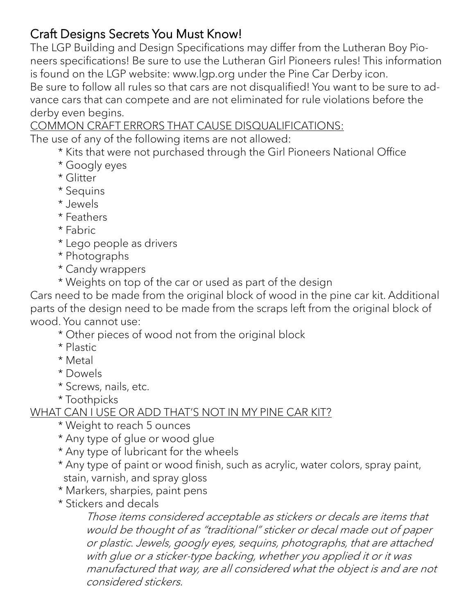### Craft Designs Secrets You Must Know!

The LGP Building and Design Specifications may differ from the Lutheran Boy Pioneers specifications! Be sure to use the Lutheran Girl Pioneers rules! This information is found on the LGP website: www.lgp.org under the Pine Car Derby icon.

Be sure to follow all rules so that cars are not disqualified! You want to be sure to advance cars that can compete and are not eliminated for rule violations before the derby even begins.

COMMON CRAFT ERRORS THAT CAUSE DISQUALIFICATIONS:

The use of any of the following items are not allowed:

- \* Kits that were not purchased through the Girl Pioneers National Office
- \* Googly eyes
- \* Glitter
- \* Sequins
- \* Jewels
- \* Feathers
- \* Fabric
- \* Lego people as drivers
- \* Photographs
- \* Candy wrappers
- \* Weights on top of the car or used as part of the design

Cars need to be made from the original block of wood in the pine car kit. Additional parts of the design need to be made from the scraps left from the original block of wood. You cannot use:

- \* Other pieces of wood not from the original block
- \* Plastic
- \* Metal
- \* Dowels
- \* Screws, nails, etc.
- \* Toothpicks

#### WHAT CAN I USE OR ADD THAT'S NOT IN MY PINE CAR KIT?

- \* Weight to reach 5 ounces
- \* Any type of glue or wood glue
- \* Any type of lubricant for the wheels
- \* Any type of paint or wood finish, such as acrylic, water colors, spray paint, stain, varnish, and spray gloss
- \* Markers, sharpies, paint pens
- \* Stickers and decals

Those items considered acceptable as stickers or decals are items that would be thought of as "traditional" sticker or decal made out of paper or plastic. Jewels, googly eyes, sequins, photographs, that are attached with glue or a sticker-type backing, whether you applied it or it was manufactured that way, are all considered what the object is and are not considered stickers.